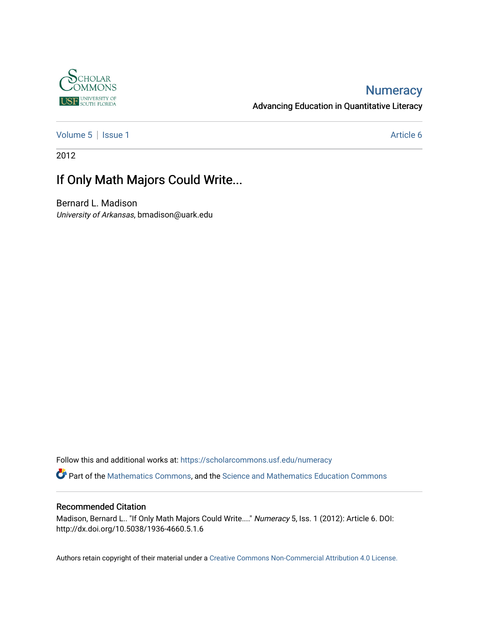

### **Numeracy**

Advancing Education in Quantitative Literacy

[Volume 5](https://scholarcommons.usf.edu/numeracy/vol5) | [Issue 1](https://scholarcommons.usf.edu/numeracy/vol5/iss1) Article 6

2012

# If Only Math Majors Could Write...

Bernard L. Madison University of Arkansas, bmadison@uark.edu

Follow this and additional works at: [https://scholarcommons.usf.edu/numeracy](https://scholarcommons.usf.edu/numeracy?utm_source=scholarcommons.usf.edu%2Fnumeracy%2Fvol5%2Fiss1%2Fart6&utm_medium=PDF&utm_campaign=PDFCoverPages) 

Part of the [Mathematics Commons](http://network.bepress.com/hgg/discipline/174?utm_source=scholarcommons.usf.edu%2Fnumeracy%2Fvol5%2Fiss1%2Fart6&utm_medium=PDF&utm_campaign=PDFCoverPages), and the Science and Mathematics Education Commons

#### Recommended Citation

Madison, Bernard L.. "If Only Math Majors Could Write...." Numeracy 5, Iss. 1 (2012): Article 6. DOI: http://dx.doi.org/10.5038/1936-4660.5.1.6

Authors retain copyright of their material under a [Creative Commons Non-Commercial Attribution 4.0 License.](http://creativecommons.org/licenses/by-nc/4.0/)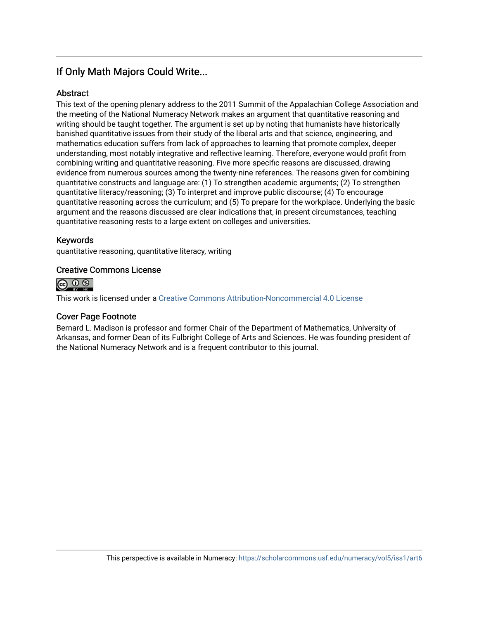### If Only Math Majors Could Write...

#### **Abstract**

This text of the opening plenary address to the 2011 Summit of the Appalachian College Association and the meeting of the National Numeracy Network makes an argument that quantitative reasoning and writing should be taught together. The argument is set up by noting that humanists have historically banished quantitative issues from their study of the liberal arts and that science, engineering, and mathematics education suffers from lack of approaches to learning that promote complex, deeper understanding, most notably integrative and reflective learning. Therefore, everyone would profit from combining writing and quantitative reasoning. Five more specific reasons are discussed, drawing evidence from numerous sources among the twenty-nine references. The reasons given for combining quantitative constructs and language are: (1) To strengthen academic arguments; (2) To strengthen quantitative literacy/reasoning; (3) To interpret and improve public discourse; (4) To encourage quantitative reasoning across the curriculum; and (5) To prepare for the workplace. Underlying the basic argument and the reasons discussed are clear indications that, in present circumstances, teaching quantitative reasoning rests to a large extent on colleges and universities.

### Keywords

quantitative reasoning, quantitative literacy, writing

#### Creative Commons License



This work is licensed under a [Creative Commons Attribution-Noncommercial 4.0 License](https://creativecommons.org/licenses/by-nc/4.0/legalcode) 

#### Cover Page Footnote

Bernard L. Madison is professor and former Chair of the Department of Mathematics, University of Arkansas, and former Dean of its Fulbright College of Arts and Sciences. He was founding president of the National Numeracy Network and is a frequent contributor to this journal.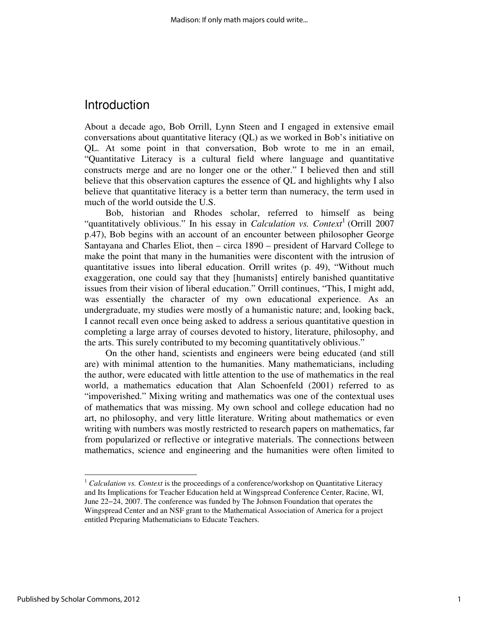### **Introduction**

About a decade ago, Bob Orrill, Lynn Steen and I engaged in extensive email conversations about quantitative literacy (QL) as we worked in Bob's initiative on QL. At some point in that conversation, Bob wrote to me in an email, "Quantitative Literacy is a cultural field where language and quantitative constructs merge and are no longer one or the other." I believed then and still believe that this observation captures the essence of QL and highlights why I also believe that quantitative literacy is a better term than numeracy, the term used in much of the world outside the U.S.

Bob, historian and Rhodes scholar, referred to himself as being "quantitatively oblivious." In his essay in *Calculation vs. Context*<sup>1</sup> (Orrill 2007 p.47), Bob begins with an account of an encounter between philosopher George Santayana and Charles Eliot, then – circa 1890 – president of Harvard College to make the point that many in the humanities were discontent with the intrusion of quantitative issues into liberal education. Orrill writes (p. 49), "Without much exaggeration, one could say that they [humanists] entirely banished quantitative issues from their vision of liberal education." Orrill continues, "This, I might add, was essentially the character of my own educational experience. As an undergraduate, my studies were mostly of a humanistic nature; and, looking back, I cannot recall even once being asked to address a serious quantitative question in completing a large array of courses devoted to history, literature, philosophy, and the arts. This surely contributed to my becoming quantitatively oblivious."

On the other hand, scientists and engineers were being educated (and still are) with minimal attention to the humanities. Many mathematicians, including the author, were educated with little attention to the use of mathematics in the real world, a mathematics education that Alan Schoenfeld (2001) referred to as "impoverished." Mixing writing and mathematics was one of the contextual uses of mathematics that was missing. My own school and college education had no art, no philosophy, and very little literature. Writing about mathematics or even writing with numbers was mostly restricted to research papers on mathematics, far from popularized or reflective or integrative materials. The connections between mathematics, science and engineering and the humanities were often limited to

<sup>&</sup>lt;sup>1</sup> Calculation vs. Context is the proceedings of a conference/workshop on Quantitative Literacy and Its Implications for Teacher Education held at Wingspread Conference Center, Racine, WI, June 22−24, 2007. The conference was funded by The Johnson Foundation that operates the Wingspread Center and an NSF grant to the Mathematical Association of America for a project entitled Preparing Mathematicians to Educate Teachers.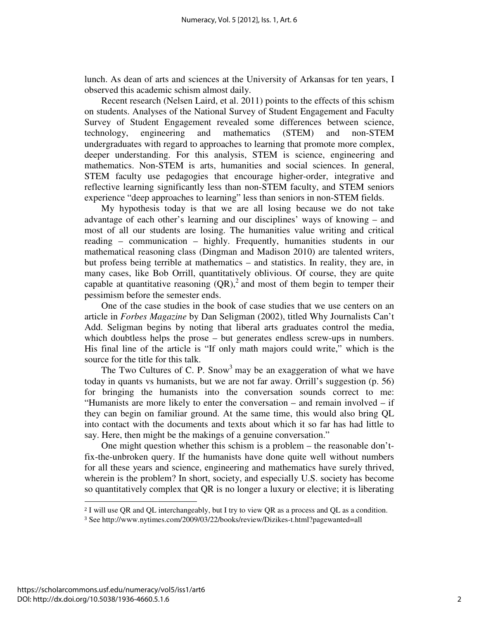lunch. As dean of arts and sciences at the University of Arkansas for ten years, I observed this academic schism almost daily.

Recent research (Nelsen Laird, et al. 2011) points to the effects of this schism on students. Analyses of the National Survey of Student Engagement and Faculty Survey of Student Engagement revealed some differences between science, technology, engineering and mathematics (STEM) and non-STEM undergraduates with regard to approaches to learning that promote more complex, deeper understanding. For this analysis, STEM is science, engineering and mathematics. Non-STEM is arts, humanities and social sciences. In general, STEM faculty use pedagogies that encourage higher-order, integrative and reflective learning significantly less than non-STEM faculty, and STEM seniors experience "deep approaches to learning" less than seniors in non-STEM fields.

My hypothesis today is that we are all losing because we do not take advantage of each other's learning and our disciplines' ways of knowing – and most of all our students are losing. The humanities value writing and critical reading – communication – highly. Frequently, humanities students in our mathematical reasoning class (Dingman and Madison 2010) are talented writers, but profess being terrible at mathematics – and statistics. In reality, they are, in many cases, like Bob Orrill, quantitatively oblivious. Of course, they are quite capable at quantitative reasoning  $(QR)$ ,<sup>2</sup> and most of them begin to temper their pessimism before the semester ends.

One of the case studies in the book of case studies that we use centers on an article in *Forbes Magazine* by Dan Seligman (2002), titled Why Journalists Can't Add. Seligman begins by noting that liberal arts graduates control the media, which doubtless helps the prose – but generates endless screw-ups in numbers. His final line of the article is "If only math majors could write," which is the source for the title for this talk.

The Two Cultures of C. P. Snow<sup>3</sup> may be an exaggeration of what we have today in quants vs humanists, but we are not far away. Orrill's suggestion (p. 56) for bringing the humanists into the conversation sounds correct to me: "Humanists are more likely to enter the conversation – and remain involved – if they can begin on familiar ground. At the same time, this would also bring QL into contact with the documents and texts about which it so far has had little to say. Here, then might be the makings of a genuine conversation."

One might question whether this schism is a problem – the reasonable don'tfix-the-unbroken query. If the humanists have done quite well without numbers for all these years and science, engineering and mathematics have surely thrived, wherein is the problem? In short, society, and especially U.S. society has become so quantitatively complex that QR is no longer a luxury or elective; it is liberating  $\overline{a}$ 

<sup>2</sup> I will use QR and QL interchangeably, but I try to view QR as a process and QL as a condition.

<sup>3</sup> See http://www.nytimes.com/2009/03/22/books/review/Dizikes-t.html?pagewanted=all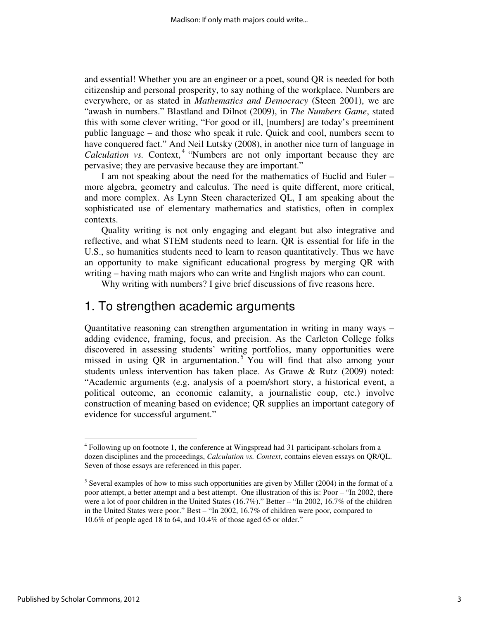and essential! Whether you are an engineer or a poet, sound QR is needed for both citizenship and personal prosperity, to say nothing of the workplace. Numbers are everywhere, or as stated in *Mathematics and Democracy* (Steen 2001), we are "awash in numbers." Blastland and Dilnot (2009), in *The Numbers Game*, stated this with some clever writing, "For good or ill, [numbers] are today's preeminent public language – and those who speak it rule. Quick and cool, numbers seem to have conquered fact." And Neil Lutsky (2008), in another nice turn of language in Calculation vs. Context,<sup>4</sup> "Numbers are not only important because they are pervasive; they are pervasive because they are important."

I am not speaking about the need for the mathematics of Euclid and Euler – more algebra, geometry and calculus. The need is quite different, more critical, and more complex. As Lynn Steen characterized QL, I am speaking about the sophisticated use of elementary mathematics and statistics, often in complex contexts.

Quality writing is not only engaging and elegant but also integrative and reflective, and what STEM students need to learn. QR is essential for life in the U.S., so humanities students need to learn to reason quantitatively. Thus we have an opportunity to make significant educational progress by merging QR with writing – having math majors who can write and English majors who can count.

Why writing with numbers? I give brief discussions of five reasons here.

## 1. To strengthen academic arguments

Quantitative reasoning can strengthen argumentation in writing in many ways – adding evidence, framing, focus, and precision. As the Carleton College folks discovered in assessing students' writing portfolios, many opportunities were missed in using QR in argumentation.<sup>5</sup> You will find that also among your students unless intervention has taken place. As Grawe & Rutz (2009) noted: "Academic arguments (e.g. analysis of a poem/short story, a historical event, a political outcome, an economic calamity, a journalistic coup, etc.) involve construction of meaning based on evidence; QR supplies an important category of evidence for successful argument."

<sup>&</sup>lt;sup>4</sup> Following up on footnote 1, the conference at Wingspread had 31 participant-scholars from a dozen disciplines and the proceedings, *Calculation vs. Context*, contains eleven essays on QR/QL. Seven of those essays are referenced in this paper.

 $<sup>5</sup>$  Several examples of how to miss such opportunities are given by Miller (2004) in the format of a</sup> poor attempt, a better attempt and a best attempt. One illustration of this is: Poor – "In 2002, there were a lot of poor children in the United States (16.7%)." Better – "In 2002, 16.7% of the children in the United States were poor." Best – "In 2002, 16.7% of children were poor, compared to 10.6% of people aged 18 to 64, and 10.4% of those aged 65 or older."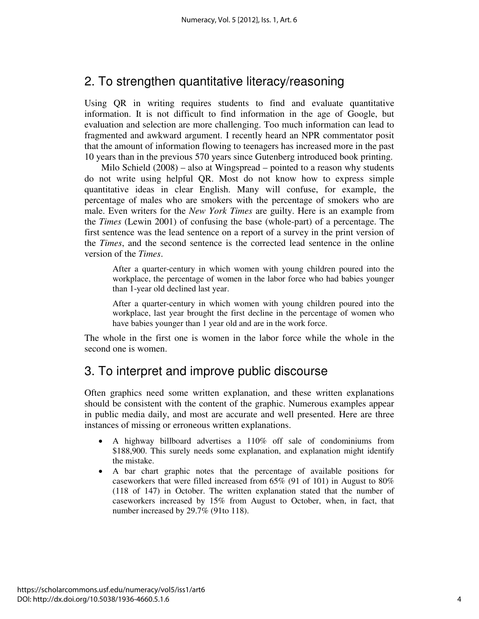# 2. To strengthen quantitative literacy/reasoning

Using QR in writing requires students to find and evaluate quantitative information. It is not difficult to find information in the age of Google, but evaluation and selection are more challenging. Too much information can lead to fragmented and awkward argument. I recently heard an NPR commentator posit that the amount of information flowing to teenagers has increased more in the past 10 years than in the previous 570 years since Gutenberg introduced book printing.

Milo Schield (2008) – also at Wingspread – pointed to a reason why students do not write using helpful QR. Most do not know how to express simple quantitative ideas in clear English. Many will confuse, for example, the percentage of males who are smokers with the percentage of smokers who are male. Even writers for the *New York Times* are guilty. Here is an example from the *Times* (Lewin 2001) of confusing the base (whole-part) of a percentage. The first sentence was the lead sentence on a report of a survey in the print version of the *Times*, and the second sentence is the corrected lead sentence in the online version of the *Times*.

After a quarter-century in which women with young children poured into the workplace, the percentage of women in the labor force who had babies younger than 1-year old declined last year.

After a quarter-century in which women with young children poured into the workplace, last year brought the first decline in the percentage of women who have babies younger than 1 year old and are in the work force.

The whole in the first one is women in the labor force while the whole in the second one is women.

# 3. To interpret and improve public discourse

Often graphics need some written explanation, and these written explanations should be consistent with the content of the graphic. Numerous examples appear in public media daily, and most are accurate and well presented. Here are three instances of missing or erroneous written explanations.

- A highway billboard advertises a 110% off sale of condominiums from \$188,900. This surely needs some explanation, and explanation might identify the mistake.
- A bar chart graphic notes that the percentage of available positions for caseworkers that were filled increased from 65% (91 of 101) in August to 80% (118 of 147) in October. The written explanation stated that the number of caseworkers increased by 15% from August to October, when, in fact, that number increased by 29.7% (91to 118).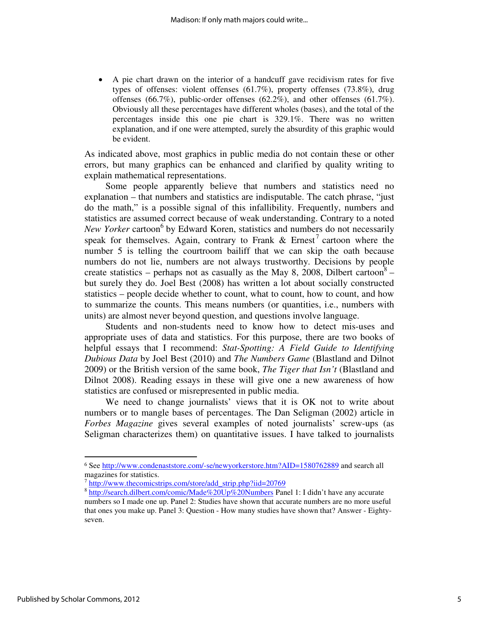• A pie chart drawn on the interior of a handcuff gave recidivism rates for five types of offenses: violent offenses (61.7%), property offenses (73.8%), drug offenses (66.7%), public-order offenses (62.2%), and other offenses (61.7%). Obviously all these percentages have different wholes (bases), and the total of the percentages inside this one pie chart is 329.1%. There was no written explanation, and if one were attempted, surely the absurdity of this graphic would be evident.

As indicated above, most graphics in public media do not contain these or other errors, but many graphics can be enhanced and clarified by quality writing to explain mathematical representations.

 Some people apparently believe that numbers and statistics need no explanation – that numbers and statistics are indisputable. The catch phrase, "just do the math," is a possible signal of this infallibility. Frequently, numbers and statistics are assumed correct because of weak understanding. Contrary to a noted New Yorker cartoon<sup>6</sup> by Edward Koren, statistics and numbers do not necessarily speak for themselves. Again, contrary to Frank  $\&$  Ernest<sup>7</sup> cartoon where the number 5 is telling the courtroom bailiff that we can skip the oath because numbers do not lie, numbers are not always trustworthy. Decisions by people create statistics – perhaps not as casually as the May 8, 2008, Dilbert cartoon<sup>8</sup> – but surely they do. Joel Best (2008) has written a lot about socially constructed statistics – people decide whether to count, what to count, how to count, and how to summarize the counts. This means numbers (or quantities, i.e., numbers with units) are almost never beyond question, and questions involve language.

Students and non-students need to know how to detect mis-uses and appropriate uses of data and statistics. For this purpose, there are two books of helpful essays that I recommend: *Stat-Spotting: A Field Guide to Identifying Dubious Data* by Joel Best (2010) and *The Numbers Game* (Blastland and Dilnot 2009) or the British version of the same book, *The Tiger that Isn't* (Blastland and Dilnot 2008). Reading essays in these will give one a new awareness of how statistics are confused or misrepresented in public media.

We need to change journalists' views that it is OK not to write about numbers or to mangle bases of percentages. The Dan Seligman (2002) article in *Forbes Magazine* gives several examples of noted journalists' screw-ups (as Seligman characterizes them) on quantitative issues. I have talked to journalists

<sup>&</sup>lt;sup>6</sup> See http://www.condenaststore.com/-se/newyorkerstore.htm?AID=1580762889 and search all magazines for statistics.

<sup>&</sup>lt;sup>7</sup> http://www.thecomicstrips.com/store/add\_strip.php?iid=20769

<sup>&</sup>lt;sup>8</sup> http://search.dilbert.com/comic/Made%20Up%20Numbers Panel 1: I didn't have any accurate numbers so I made one up. Panel 2: Studies have shown that accurate numbers are no more useful that ones you make up. Panel 3: Question - How many studies have shown that? Answer - Eightyseven.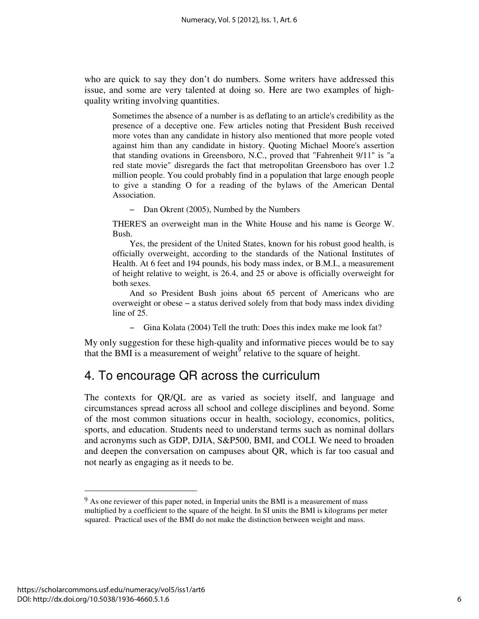who are quick to say they don't do numbers. Some writers have addressed this issue, and some are very talented at doing so. Here are two examples of highquality writing involving quantities.

Sometimes the absence of a number is as deflating to an article's credibility as the presence of a deceptive one. Few articles noting that President Bush received more votes than any candidate in history also mentioned that more people voted against him than any candidate in history. Quoting Michael Moore's assertion that standing ovations in Greensboro, N.C., proved that "Fahrenheit 9/11" is "a red state movie" disregards the fact that metropolitan Greensboro has over 1.2 million people. You could probably find in a population that large enough people to give a standing O for a reading of the bylaws of the American Dental Association.

− Dan Okrent (2005), Numbed by the Numbers

THERE'S an overweight man in the White House and his name is George W. Bush.

Yes, the president of the United States, known for his robust good health, is officially overweight, according to the standards of the National Institutes of Health. At 6 feet and 194 pounds, his body mass index, or B.M.I., a measurement of height relative to weight, is 26.4, and 25 or above is officially overweight for both sexes.

And so President Bush joins about 65 percent of Americans who are overweight or obese − a status derived solely from that body mass index dividing line of 25.

− Gina Kolata (2004) Tell the truth: Does this index make me look fat?

My only suggestion for these high-quality and informative pieces would be to say that the BMI is a measurement of weight<sup> $\delta$ </sup> relative to the square of height.

### 4. To encourage QR across the curriculum

The contexts for QR/QL are as varied as society itself, and language and circumstances spread across all school and college disciplines and beyond. Some of the most common situations occur in health, sociology, economics, politics, sports, and education. Students need to understand terms such as nominal dollars and acronyms such as GDP, DJIA, S&P500, BMI, and COLI. We need to broaden and deepen the conversation on campuses about QR, which is far too casual and not nearly as engaging as it needs to be.

 $9$  As one reviewer of this paper noted, in Imperial units the BMI is a measurement of mass multiplied by a coefficient to the square of the height. In SI units the BMI is kilograms per meter squared. Practical uses of the BMI do not make the distinction between weight and mass.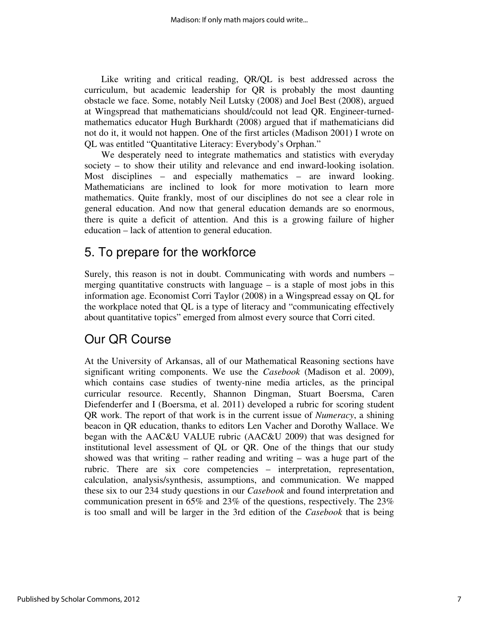Like writing and critical reading, QR/QL is best addressed across the curriculum, but academic leadership for QR is probably the most daunting obstacle we face. Some, notably Neil Lutsky (2008) and Joel Best (2008), argued at Wingspread that mathematicians should/could not lead QR. Engineer-turnedmathematics educator Hugh Burkhardt (2008) argued that if mathematicians did not do it, it would not happen. One of the first articles (Madison 2001) I wrote on QL was entitled "Quantitative Literacy: Everybody's Orphan."

We desperately need to integrate mathematics and statistics with everyday society – to show their utility and relevance and end inward-looking isolation. Most disciplines – and especially mathematics – are inward looking. Mathematicians are inclined to look for more motivation to learn more mathematics. Quite frankly, most of our disciplines do not see a clear role in general education. And now that general education demands are so enormous, there is quite a deficit of attention. And this is a growing failure of higher education – lack of attention to general education.

## 5. To prepare for the workforce

Surely, this reason is not in doubt. Communicating with words and numbers – merging quantitative constructs with language  $-$  is a staple of most jobs in this information age. Economist Corri Taylor (2008) in a Wingspread essay on QL for the workplace noted that QL is a type of literacy and "communicating effectively about quantitative topics" emerged from almost every source that Corri cited.

# Our QR Course

At the University of Arkansas, all of our Mathematical Reasoning sections have significant writing components. We use the *Casebook* (Madison et al. 2009), which contains case studies of twenty-nine media articles, as the principal curricular resource. Recently, Shannon Dingman, Stuart Boersma, Caren Diefenderfer and I (Boersma, et al. 2011) developed a rubric for scoring student QR work. The report of that work is in the current issue of *Numeracy*, a shining beacon in QR education, thanks to editors Len Vacher and Dorothy Wallace. We began with the AAC&U VALUE rubric (AAC&U 2009) that was designed for institutional level assessment of QL or QR. One of the things that our study showed was that writing – rather reading and writing – was a huge part of the rubric. There are six core competencies – interpretation, representation, calculation, analysis/synthesis, assumptions, and communication. We mapped these six to our 234 study questions in our *Casebook* and found interpretation and communication present in 65% and 23% of the questions, respectively. The 23% is too small and will be larger in the 3rd edition of the *Casebook* that is being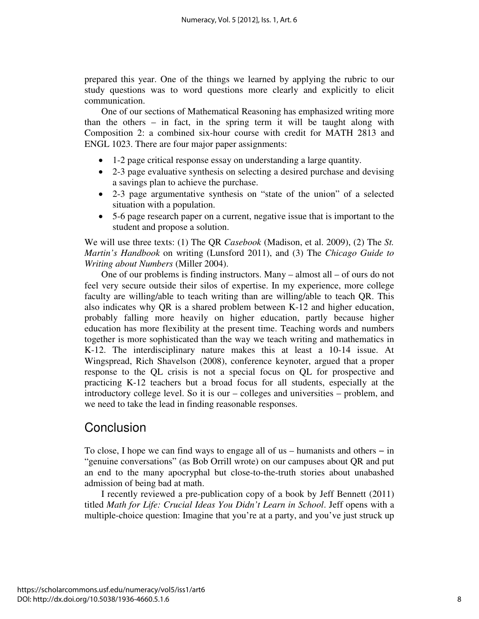prepared this year. One of the things we learned by applying the rubric to our study questions was to word questions more clearly and explicitly to elicit communication.

One of our sections of Mathematical Reasoning has emphasized writing more than the others – in fact, in the spring term it will be taught along with Composition 2: a combined six-hour course with credit for MATH 2813 and ENGL 1023. There are four major paper assignments:

- 1-2 page critical response essay on understanding a large quantity.
- 2-3 page evaluative synthesis on selecting a desired purchase and devising a savings plan to achieve the purchase.
- 2-3 page argumentative synthesis on "state of the union" of a selected situation with a population.
- 5-6 page research paper on a current, negative issue that is important to the student and propose a solution.

We will use three texts: (1) The QR *Casebook* (Madison, et al. 2009), (2) The *St. Martin's Handbook* on writing (Lunsford 2011), and (3) The *Chicago Guide to Writing about Numbers* (Miller 2004).

One of our problems is finding instructors. Many – almost all – of ours do not feel very secure outside their silos of expertise. In my experience, more college faculty are willing/able to teach writing than are willing/able to teach QR. This also indicates why QR is a shared problem between K-12 and higher education, probably falling more heavily on higher education, partly because higher education has more flexibility at the present time. Teaching words and numbers together is more sophisticated than the way we teach writing and mathematics in K-12. The interdisciplinary nature makes this at least a 10-14 issue. At Wingspread, Rich Shavelson (2008), conference keynoter, argued that a proper response to the QL crisis is not a special focus on QL for prospective and practicing K-12 teachers but a broad focus for all students, especially at the introductory college level. So it is our – colleges and universities – problem, and we need to take the lead in finding reasonable responses.

## Conclusion

To close, I hope we can find ways to engage all of us – humanists and others − in "genuine conversations" (as Bob Orrill wrote) on our campuses about QR and put an end to the many apocryphal but close-to-the-truth stories about unabashed admission of being bad at math.

I recently reviewed a pre-publication copy of a book by Jeff Bennett (2011) titled *Math for Life: Crucial Ideas You Didn't Learn in School*. Jeff opens with a multiple-choice question: Imagine that you're at a party, and you've just struck up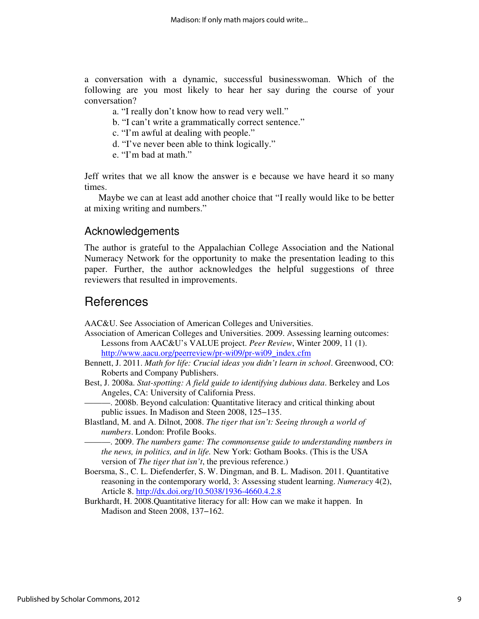a conversation with a dynamic, successful businesswoman. Which of the following are you most likely to hear her say during the course of your conversation?

- a. "I really don't know how to read very well."
- b. "I can't write a grammatically correct sentence."
- c. "I'm awful at dealing with people."
- d. "I've never been able to think logically."
- e. "I'm bad at math."

Jeff writes that we all know the answer is e because we have heard it so many times.

Maybe we can at least add another choice that "I really would like to be better at mixing writing and numbers."

### Acknowledgements

The author is grateful to the Appalachian College Association and the National Numeracy Network for the opportunity to make the presentation leading to this paper. Further, the author acknowledges the helpful suggestions of three reviewers that resulted in improvements.

### References

AAC&U. See Association of American Colleges and Universities.

- Association of American Colleges and Universities. 2009. Assessing learning outcomes: Lessons from AAC&U's VALUE project. *Peer Review*, Winter 2009, 11 (1). http://www.aacu.org/peerreview/pr-wi09/pr-wi09\_index.cfm
- Bennett, J. 2011. *Math for life: Crucial ideas you didn't learn in school*. Greenwood, CO: Roberts and Company Publishers.
- Best, J. 2008a. *Stat-spotting: A field guide to identifying dubious data*. Berkeley and Los Angeles, CA: University of California Press.

———. 2008b. Beyond calculation: Quantitative literacy and critical thinking about public issues. In Madison and Steen 2008, 125−135.

Blastland, M. and A. Dilnot, 2008. *The tiger that isn't: Seeing through a world of numbers*. London: Profile Books.

———. 2009. *The numbers game: The commonsense guide to understanding numbers in the news, in politics, and in life.* New York: Gotham Books. (This is the USA version of *The tiger that isn't*, the previous reference.)

- Boersma, S., C. L. Diefenderfer, S. W. Dingman, and B. L. Madison. 2011. Quantitative reasoning in the contemporary world, 3: Assessing student learning. *Numeracy* 4(2), Article 8. http://dx.doi.org/10.5038/1936-4660.4.2.8
- Burkhardt, H. 2008.Quantitative literacy for all: How can we make it happen. In Madison and Steen 2008, 137−162.